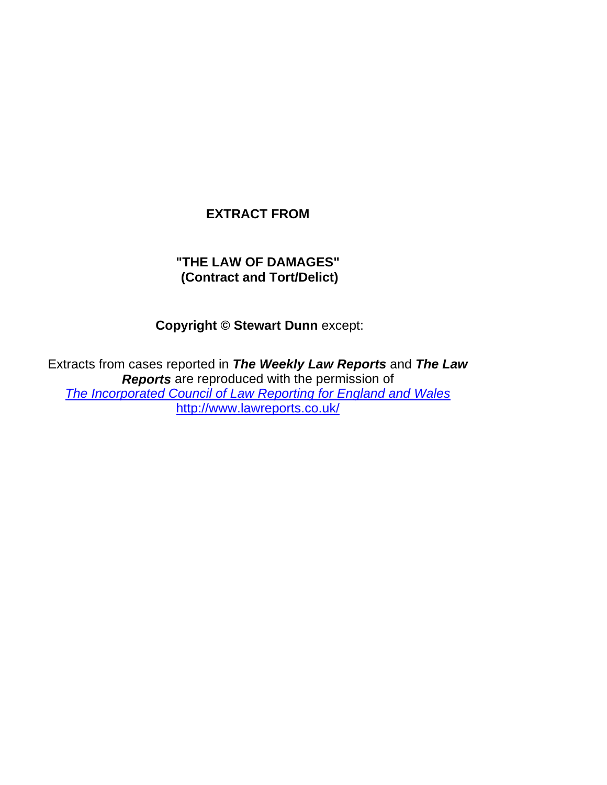# **EXTRACT FROM**

# **"THE LAW OF DAMAGES" (Contract and Tort/Delict)**

 **Copyright © Stewart Dunn** except:

Extracts from cases reported in *The Weekly Law Reports* and *The Law Reports* are reproduced with the permission of *The Incorporated Council of Law Reporting for England and Wales* http://www.lawreports.co.uk/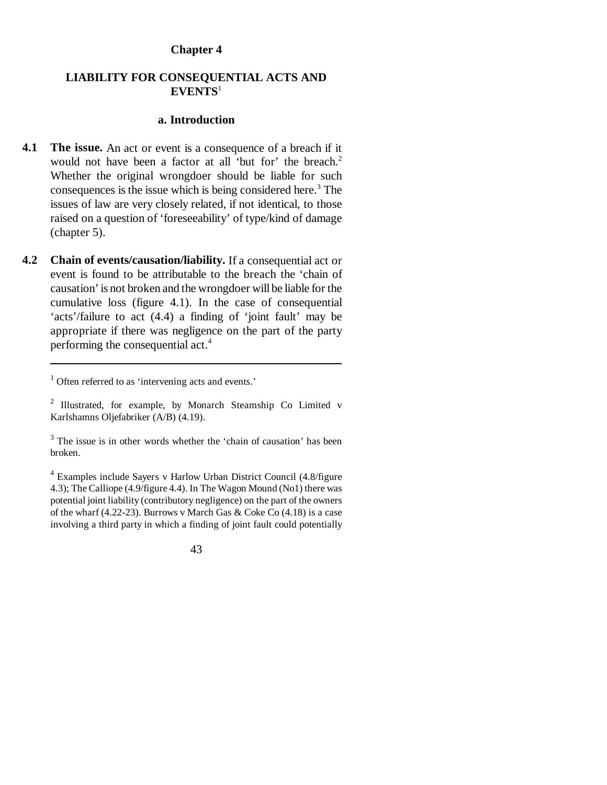#### **Chapter 4**

### **LIABILITY FOR CONSEQUENTIAL ACTS AND EVENTS**<sup>1</sup>

#### **a. Introduction**

- **4.1** The issue. An act or event is a consequence of a breach if it would not have been a factor at all 'but for' the breach.<sup>2</sup> Whether the original wrongdoer should be liable for such consequences is the issue which is being considered here.<sup>3</sup> The issues of law are very closely related, if not identical, to those raised on a question of 'foreseeability' of type/kind of damage (chapter 5).
- **4.2 Chain of events/causation/liability.** If a consequential act or event is found to be attributable to the breach the 'chain of causation' is not broken and the wrongdoer will be liable for the cumulative loss (figure 4.1). In the case of consequential 'acts'/failure to act (4.4) a finding of 'joint fault' may be appropriate if there was negligence on the part of the party performing the consequential act.<sup>4</sup>

<sup>&</sup>lt;sup>1</sup> Often referred to as 'intervening acts and events.'

<sup>&</sup>lt;sup>2</sup> Illustrated, for example, by Monarch Steamship Co Limited v Karlshamns Oljefabriker (A/B) (4.19).

 $3$  The issue is in other words whether the 'chain of causation' has been broken.

<sup>4</sup> Examples include Sayers v Harlow Urban District Council (4.8/figure 4.3); The Calliope (4.9/figure 4.4). In The Wagon Mound (No1) there was potential joint liability (contributory negligence) on the part of the owners of the wharf (4.22-23). Burrows v March Gas & Coke Co (4.18) is a case involving a third party in which a finding of joint fault could potentially

<sup>43</sup>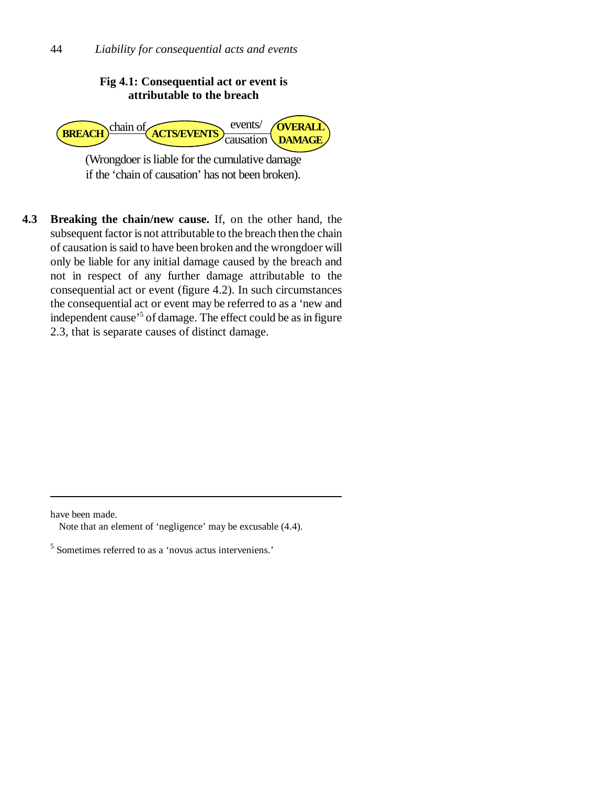## **Fig 4.1: Consequential act or event is attributable to the breach**



(Wrongdoer is liable for the cumulative damage if the 'chain of causation' has not been broken).

**4.3 Breaking the chain/new cause.** If, on the other hand, the subsequent factor is not attributable to the breach then the chain of causation is said to have been broken and the wrongdoer will only be liable for any initial damage caused by the breach and not in respect of any further damage attributable to the consequential act or event (figure 4.2). In such circumstances the consequential act or event may be referred to as a 'new and independent cause'<sup>5</sup> of damage. The effect could be as in figure 2.3, that is separate causes of distinct damage.

have been made.

Note that an element of 'negligence' may be excusable (4.4).

<sup>5</sup> Sometimes referred to as a 'novus actus interveniens.'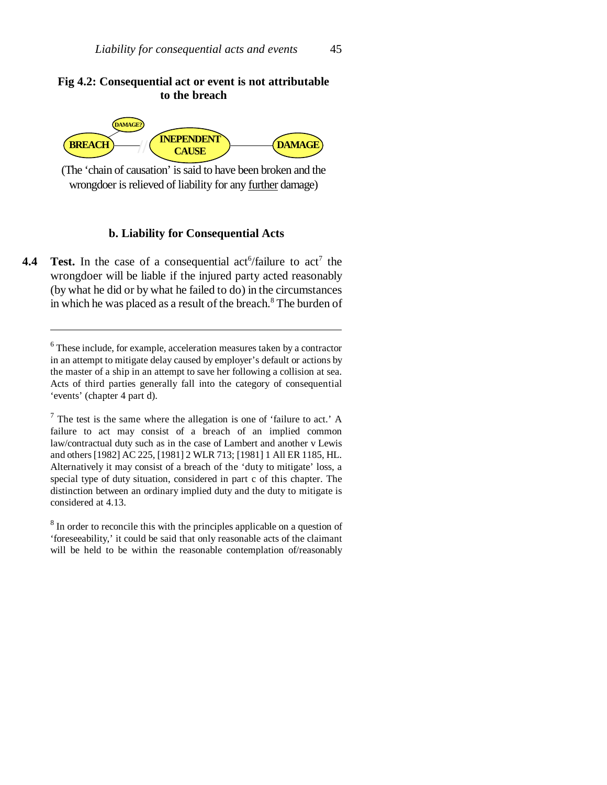#### **Fig 4.2: Consequential act or event is not attributable to the breach**



(The 'chain of causation' is said to have been broken and the wrongdoer is relieved of liability for any further damage)

#### **b. Liability for Consequential Acts**

**4.4** Test. In the case of a consequential act<sup>6</sup>/failure to  $\text{act}^7$  the wrongdoer will be liable if the injured party acted reasonably (by what he did or by what he failed to do) in the circumstances in which he was placed as a result of the breach.<sup>8</sup> The burden of

<sup>&</sup>lt;sup>6</sup> These include, for example, acceleration measures taken by a contractor in an attempt to mitigate delay caused by employer's default or actions by the master of a ship in an attempt to save her following a collision at sea. Acts of third parties generally fall into the category of consequential 'events' (chapter 4 part d).

 $7$  The test is the same where the allegation is one of 'failure to act.' A failure to act may consist of a breach of an implied common law/contractual duty such as in the case of Lambert and another v Lewis and others [1982] AC 225, [1981] 2 WLR 713; [1981] 1 All ER 1185, HL. Alternatively it may consist of a breach of the 'duty to mitigate' loss, a special type of duty situation, considered in part c of this chapter. The distinction between an ordinary implied duty and the duty to mitigate is considered at 4.13.

<sup>&</sup>lt;sup>8</sup> In order to reconcile this with the principles applicable on a question of 'foreseeability,' it could be said that only reasonable acts of the claimant will be held to be within the reasonable contemplation of/reasonably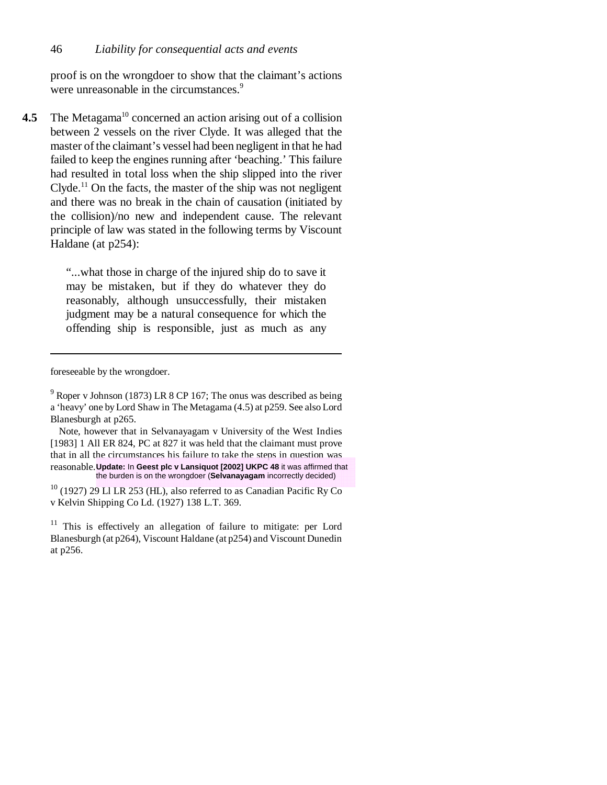proof is on the wrongdoer to show that the claimant's actions were unreasonable in the circumstances.<sup>9</sup>

**4.5** The Metagama<sup>10</sup> concerned an action arising out of a collision between 2 vessels on the river Clyde. It was alleged that the master of the claimant's vessel had been negligent in that he had failed to keep the engines running after 'beaching.' This failure had resulted in total loss when the ship slipped into the river Clyde.<sup>11</sup> On the facts, the master of the ship was not negligent and there was no break in the chain of causation (initiated by the collision)/no new and independent cause. The relevant principle of law was stated in the following terms by Viscount Haldane (at p254):

> "...what those in charge of the injured ship do to save it may be mistaken, but if they do whatever they do reasonably, although unsuccessfully, their mistaken judgment may be a natural consequence for which the offending ship is responsible, just as much as any

foreseeable by the wrongdoer.

Note, however that in Selvanayagam v University of the West Indies [1983] 1 All ER 824, PC at 827 it was held that the claimant must prove that in all the circumstances his failure to take the steps in question was reasonable. **Update:** In **Geest plc v Lansiquot [2002] UKPC 48** it was affirmed that the burden is on the wrongdoer (**Selvanayagam** incorrectly decided)

 $9^9$  Roper v Johnson (1873) LR 8 CP 167; The onus was described as being a 'heavy' one by Lord Shaw in The Metagama (4.5) at p259. See also Lord Blanesburgh at p265.

 $10$  (1927) 29 Ll LR 253 (HL), also referred to as Canadian Pacific Ry Co v Kelvin Shipping Co Ld. (1927) 138 L.T. 369.

 $11$  This is effectively an allegation of failure to mitigate: per Lord Blanesburgh (at p264), Viscount Haldane (at p254) and Viscount Dunedin at p256.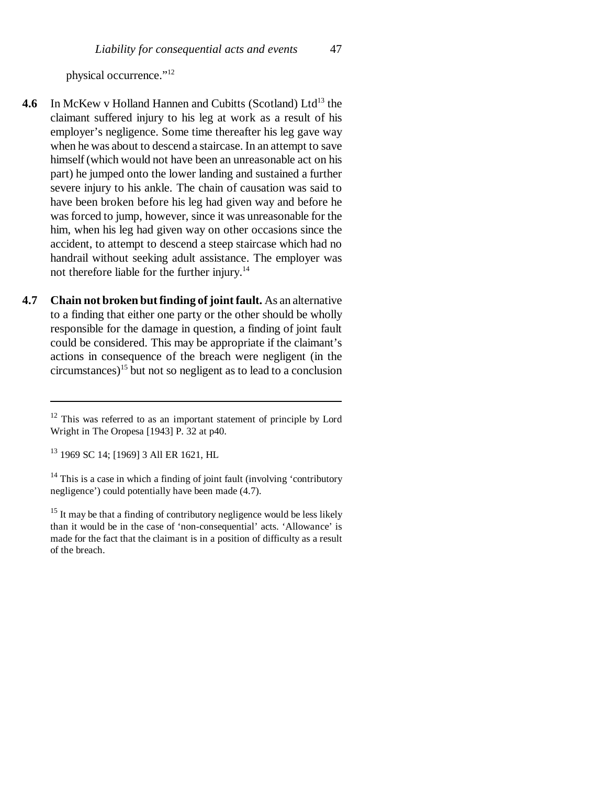physical occurrence."12

- **4.6** In McKew v Holland Hannen and Cubitts (Scotland) Ltd<sup>13</sup> the claimant suffered injury to his leg at work as a result of his employer's negligence. Some time thereafter his leg gave way when he was about to descend a staircase. In an attempt to save himself (which would not have been an unreasonable act on his part) he jumped onto the lower landing and sustained a further severe injury to his ankle. The chain of causation was said to have been broken before his leg had given way and before he was forced to jump, however, since it was unreasonable for the him, when his leg had given way on other occasions since the accident, to attempt to descend a steep staircase which had no handrail without seeking adult assistance. The employer was not therefore liable for the further injury.<sup>14</sup>
- **4.7 Chain not broken but finding of joint fault.** As an alternative to a finding that either one party or the other should be wholly responsible for the damage in question, a finding of joint fault could be considered. This may be appropriate if the claimant's actions in consequence of the breach were negligent (in the  $circumstances)$ <sup>15</sup> but not so negligent as to lead to a conclusion

<sup>&</sup>lt;sup>12</sup> This was referred to as an important statement of principle by Lord Wright in The Oropesa [1943] P. 32 at p40.

<sup>13 1969</sup> SC 14; [1969] 3 All ER 1621, HL

<sup>&</sup>lt;sup>14</sup> This is a case in which a finding of joint fault (involving 'contributory negligence') could potentially have been made (4.7).

<sup>&</sup>lt;sup>15</sup> It may be that a finding of contributory negligence would be less likely than it would be in the case of 'non-consequential' acts. 'Allowance' is made for the fact that the claimant is in a position of difficulty as a result of the breach.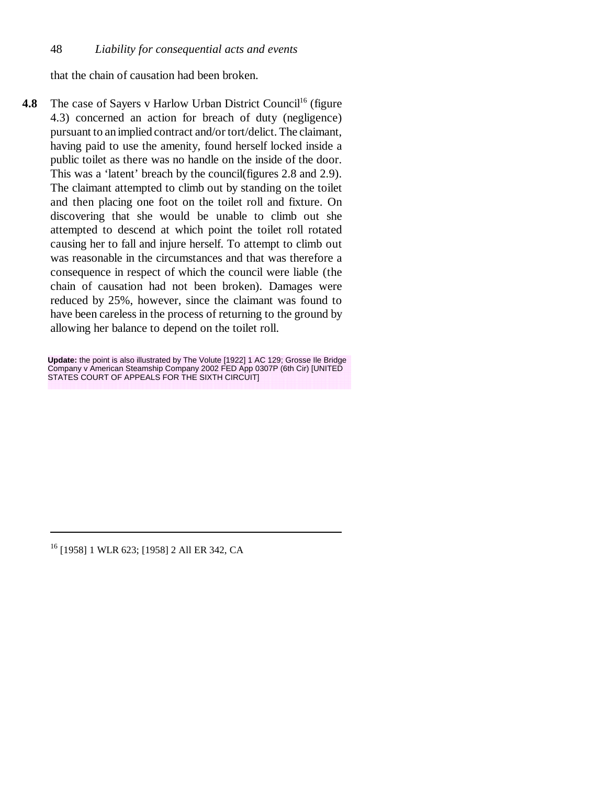that the chain of causation had been broken.

**4.8** The case of Sayers v Harlow Urban District Council<sup>16</sup> (figure 4.3) concerned an action for breach of duty (negligence) pursuant to an implied contract and/or tort/delict. The claimant, having paid to use the amenity, found herself locked inside a public toilet as there was no handle on the inside of the door. This was a 'latent' breach by the council(figures 2.8 and 2.9). The claimant attempted to climb out by standing on the toilet and then placing one foot on the toilet roll and fixture. On discovering that she would be unable to climb out she attempted to descend at which point the toilet roll rotated causing her to fall and injure herself. To attempt to climb out was reasonable in the circumstances and that was therefore a consequence in respect of which the council were liable (the chain of causation had not been broken). Damages were reduced by 25%, however, since the claimant was found to have been careless in the process of returning to the ground by allowing her balance to depend on the toilet roll.

**Update:** the point is also illustrated by The Volute [1922] 1 AC 129; Grosse Ile Bridge Company v American Steamship Company 2002 FED App 0307P (6th Cir) [UNITED STATES COURT OF APPEALS FOR THE SIXTH CIRCUITI

16 [1958] 1 WLR 623; [1958] 2 All ER 342, CA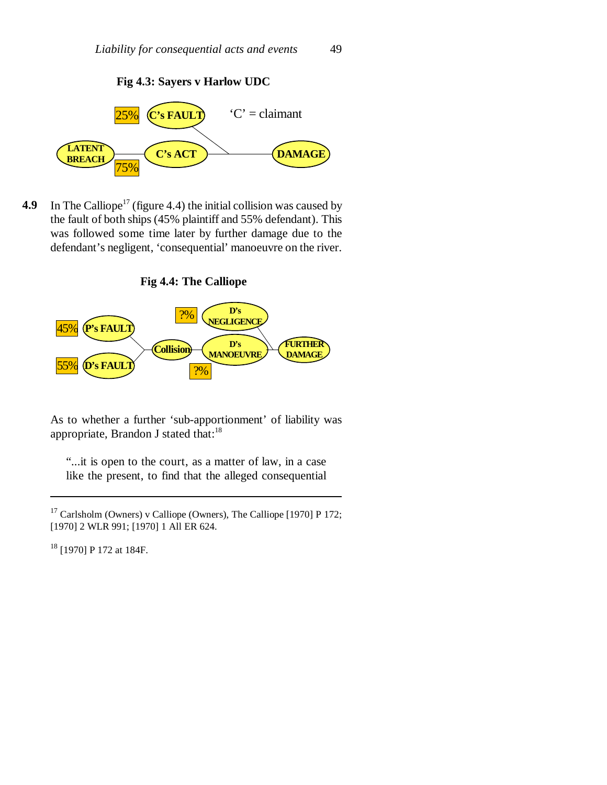**Fig 4.3: Sayers v Harlow UDC**



**4.9** In The Calliope<sup>17</sup> (figure 4.4) the initial collision was caused by the fault of both ships (45% plaintiff and 55% defendant). This was followed some time later by further damage due to the defendant's negligent, 'consequential' manoeuvre on the river.





As to whether a further 'sub-apportionment' of liability was appropriate, Brandon J stated that:<sup>18</sup>

"...it is open to the court, as a matter of law, in a case like the present, to find that the alleged consequential

<sup>18</sup> [1970] P 172 at 184F.

<sup>17</sup> Carlsholm (Owners) v Calliope (Owners), The Calliope [1970] P 172; [1970] 2 WLR 991; [1970] 1 All ER 624.